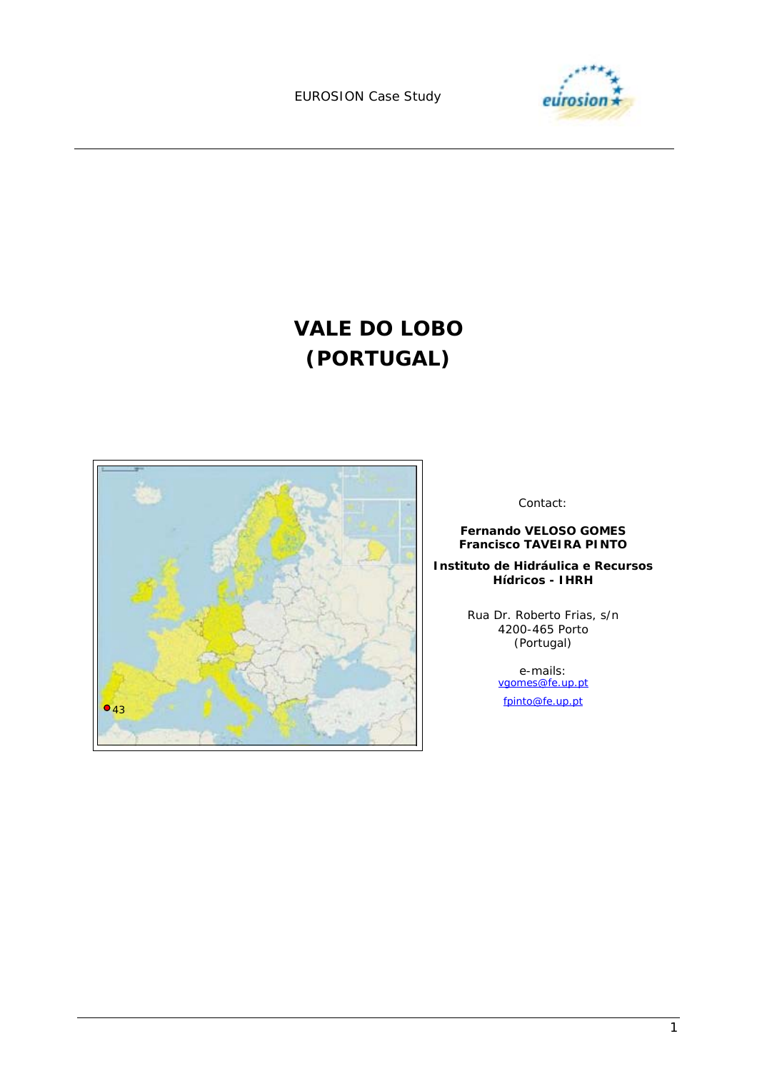

# **VALE DO LOBO (PORTUGAL)**



Contact:

**Fernando VELOSO GOMES Francisco TAVEIRA PINTO** 

**Instituto de Hidráulica e Recursos Hídricos - IHRH** 

> Rua Dr. Roberto Frias, s/n 4200-465 Porto (Portugal)

> > e-mails:<br>
> > <u>vgomes@fe.up.pt</u>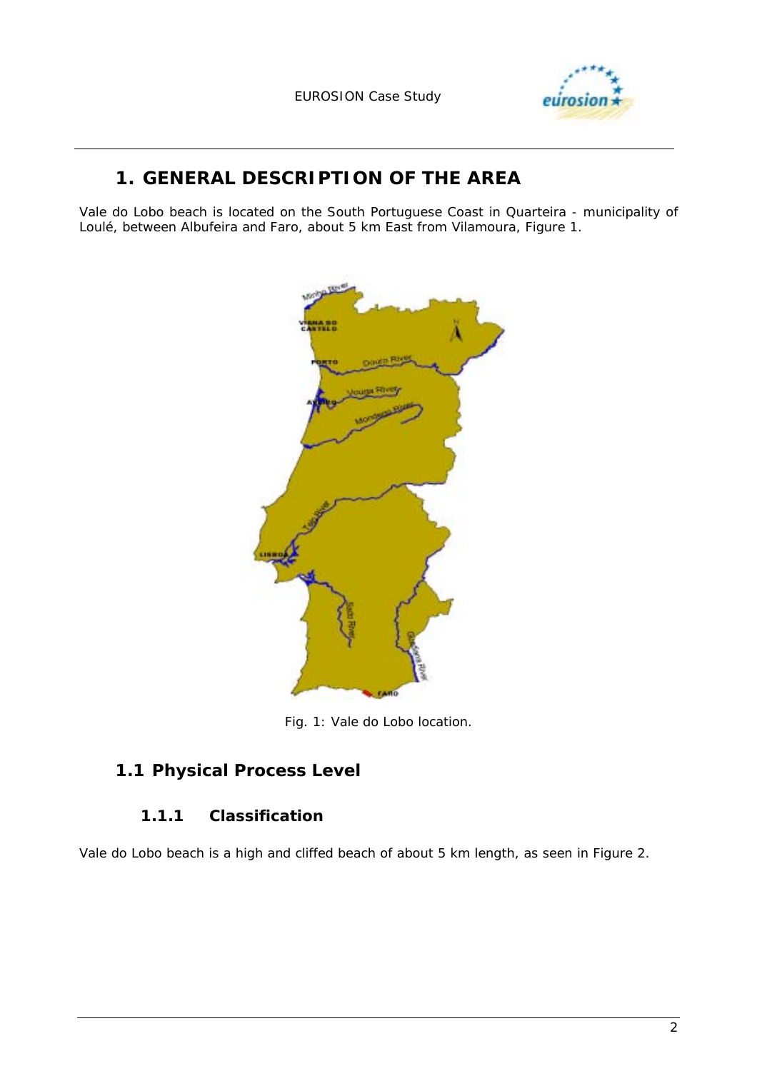

# **1. GENERAL DESCRIPTION OF THE AREA**

Vale do Lobo beach is located on the South Portuguese Coast in Quarteira - municipality of Loulé, between Albufeira and Faro, about 5 km East from Vilamoura, Figure 1.



*Fig. 1: Vale do Lobo location.* 

### **1.1 Physical Process Level**

#### **1.1.1 Classification**

Vale do Lobo beach is a high and cliffed beach of about 5 km length, as seen in Figure 2.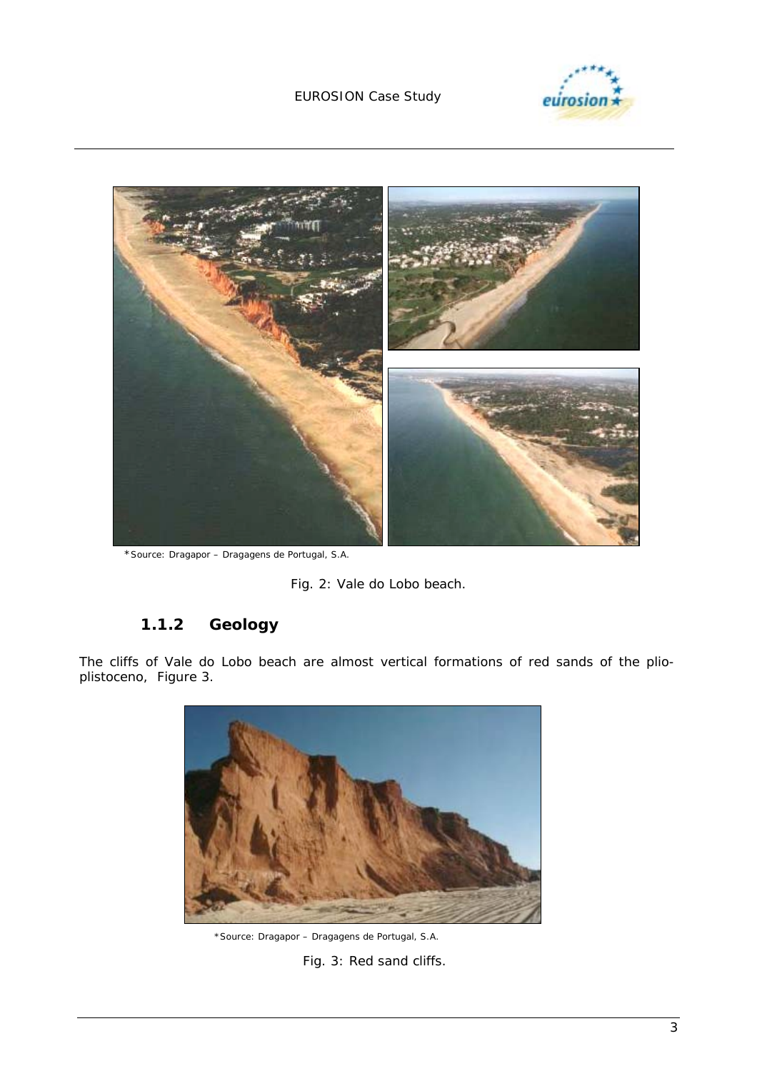

eurosi





\*Source: Dragapor – Dragagens de Portugal, S.A.

*Fig. 2: Vale do Lobo beach.* 

### **1.1.2 Geology**

The cliffs of Vale do Lobo beach are almost vertical formations of red sands of the plioplistoceno, Figure 3.



\*Source: Dragapor – Dragagens de Portugal, S.A. *Fig. 3: Red sand cliffs.*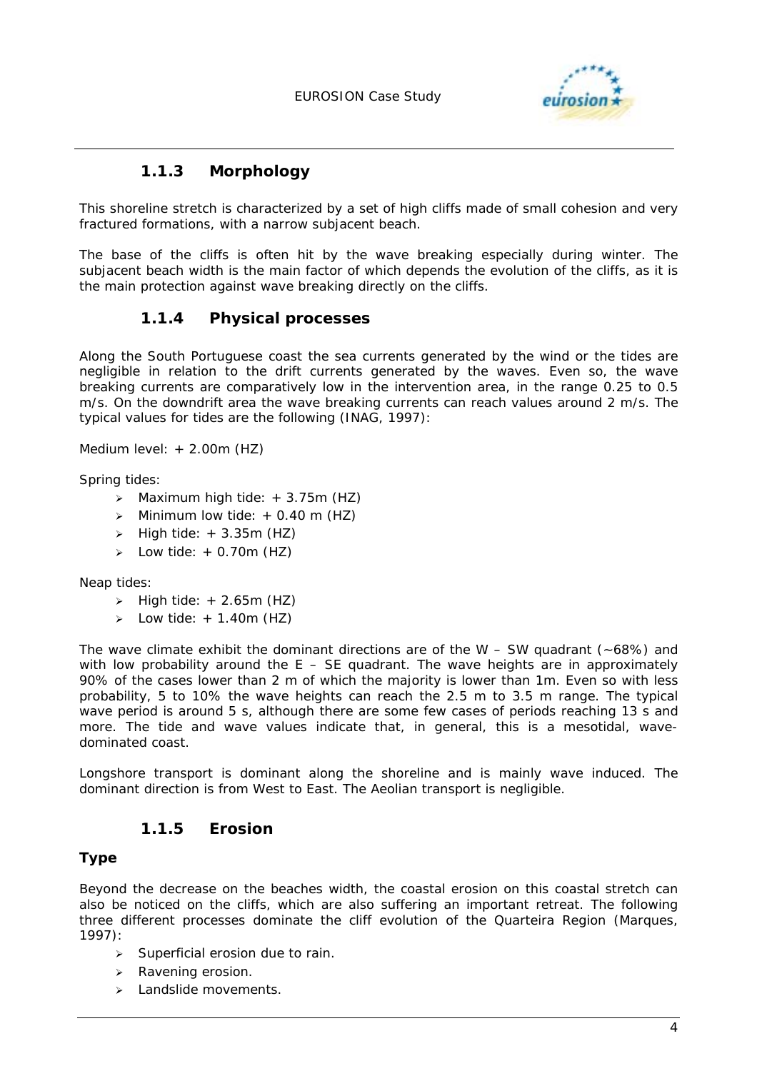

### **1.1.3 Morphology**

This shoreline stretch is characterized by a set of high cliffs made of small cohesion and very fractured formations, with a narrow subjacent beach.

The base of the cliffs is often hit by the wave breaking especially during winter. The subjacent beach width is the main factor of which depends the evolution of the cliffs, as it is the main protection against wave breaking directly on the cliffs.

#### **1.1.4 Physical processes**

Along the South Portuguese coast the sea currents generated by the wind or the tides are negligible in relation to the drift currents generated by the waves. Even so, the wave breaking currents are comparatively low in the intervention area, in the range 0.25 to 0.5 m/s. On the downdrift area the wave breaking currents can reach values around 2 m/s. The typical values for tides are the following (INAG, 1997):

Medium level: + 2.00m (HZ)

Spring tides:

- $\geq$  Maximum high tide:  $+ 3.75$ m (HZ)
- $\triangleright$  Minimum low tide: + 0.40 m (HZ)
- $\triangleright$  High tide:  $+ 3.35$ m (HZ)
- $\geq$  Low tide: + 0.70m (HZ)

Neap tides:

- $\triangleright$  High tide: + 2.65m (HZ)
- Eow tide:  $+ 1.40$ m (HZ)

The wave climate exhibit the dominant directions are of the W  $-$  SW quadrant ( $\sim$ 68%) and with low probability around the  $E - SE$  quadrant. The wave heights are in approximately 90% of the cases lower than 2 m of which the majority is lower than 1m. Even so with less probability, 5 to 10% the wave heights can reach the 2.5 m to 3.5 m range. The typical wave period is around 5 s, although there are some few cases of periods reaching 13 s and more. The tide and wave values indicate that, in general, this is a mesotidal, wavedominated coast.

Longshore transport is dominant along the shoreline and is mainly wave induced. The dominant direction is from West to East. The Aeolian transport is negligible.

#### **1.1.5 Erosion**

#### **Type**

Beyond the decrease on the beaches width, the coastal erosion on this coastal stretch can also be noticed on the cliffs, which are also suffering an important retreat. The following three different processes dominate the cliff evolution of the Quarteira Region (Marques, 1997):

- $\triangleright$  Superficial erosion due to rain.
- > Ravening erosion.
- > Landslide movements.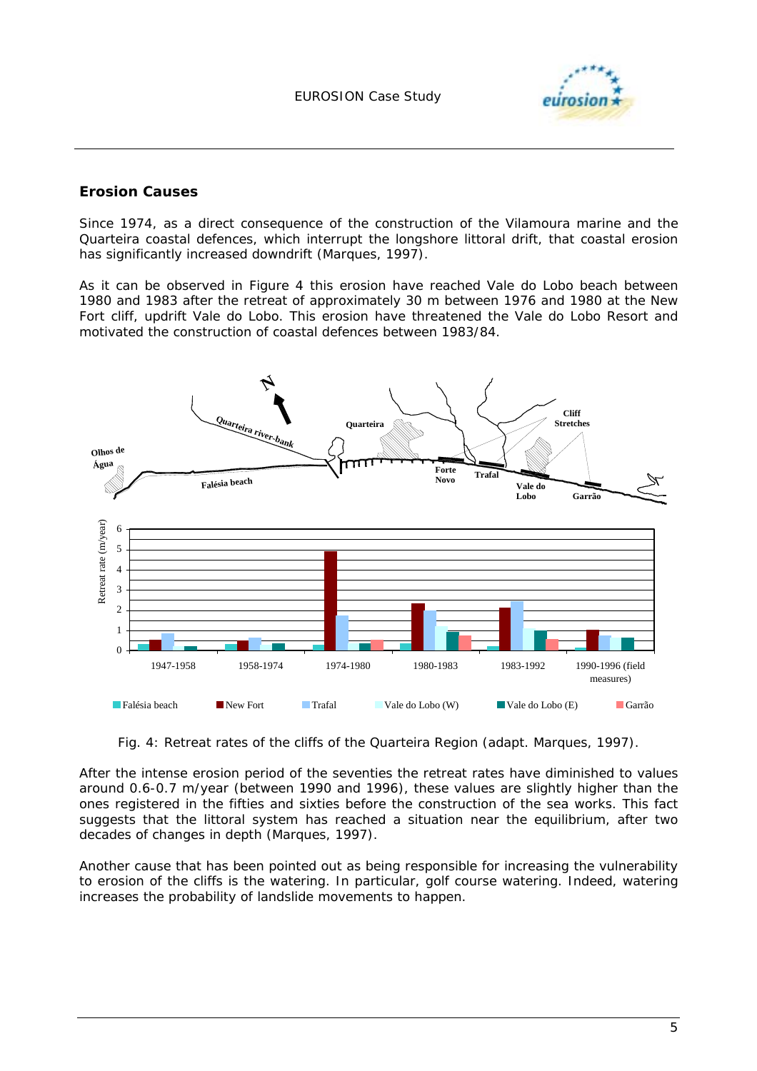

#### **Erosion Causes**

Since 1974, as a direct consequence of the construction of the Vilamoura marine and the Quarteira coastal defences, which interrupt the longshore littoral drift, that coastal erosion has significantly increased downdrift (Marques, 1997).

As it can be observed in Figure 4 this erosion have reached Vale do Lobo beach between 1980 and 1983 after the retreat of approximately 30 m between 1976 and 1980 at the New Fort cliff, updrift Vale do Lobo. This erosion have threatened the Vale do Lobo Resort and motivated the construction of coastal defences between 1983/84.



Fig. 4: Retreat rates of the cliffs of the Quarteira Region (adapt. Marques, 1997).

After the intense erosion period of the seventies the retreat rates have diminished to values around 0.6-0.7 m/year (between 1990 and 1996), these values are slightly higher than the ones registered in the fifties and sixties before the construction of the sea works. This fact suggests that the littoral system has reached a situation near the equilibrium, after two decades of changes in depth (Marques, 1997).

Another cause that has been pointed out as being responsible for increasing the vulnerability to erosion of the cliffs is the watering. In particular, golf course watering. Indeed, watering increases the probability of landslide movements to happen.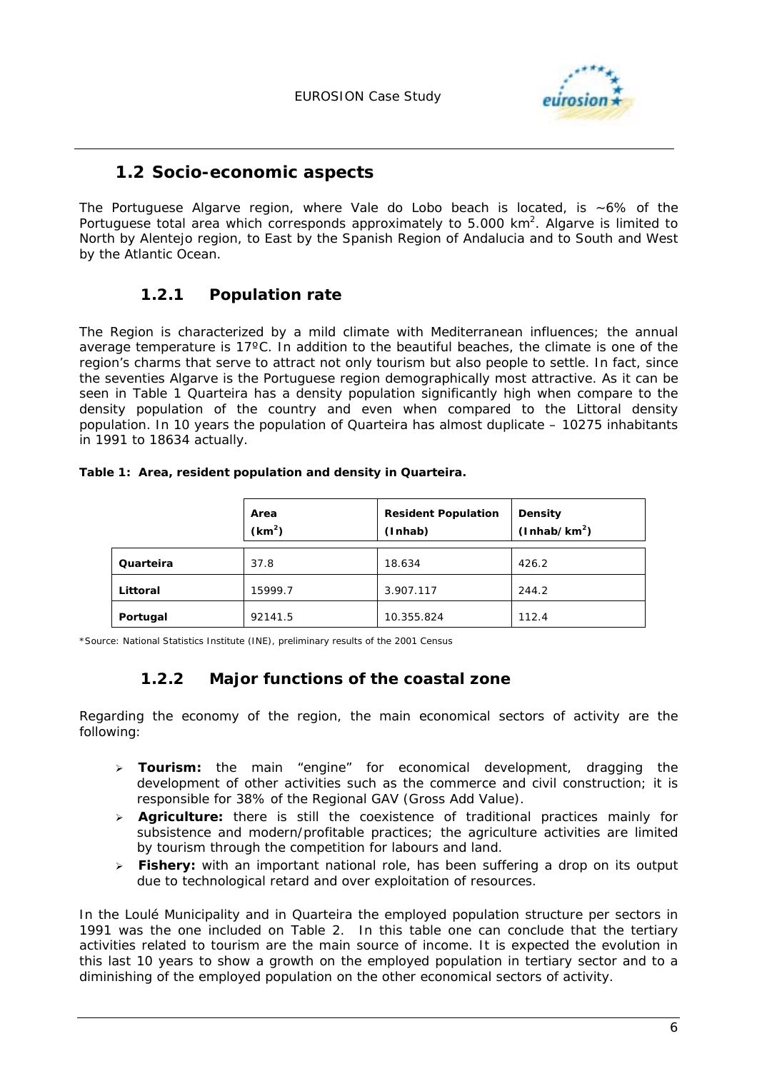

#### **1.2 Socio-economic aspects**

The Portuguese Algarve region, where Vale do Lobo beach is located, is  $~6\%$  of the Portuguese total area which corresponds approximately to 5.000  $km^2$ . Algarve is limited to North by Alentejo region, to East by the Spanish Region of Andalucia and to South and West by the Atlantic Ocean.

#### **1.2.1 Population rate**

The Region is characterized by a mild climate with Mediterranean influences; the annual average temperature is 17ºC. In addition to the beautiful beaches, the climate is one of the region's charms that serve to attract not only tourism but also people to settle. In fact, since the seventies Algarve is the Portuguese region demographically most attractive. As it can be seen in Table 1 Quarteira has a density population significantly high when compare to the density population of the country and even when compared to the Littoral density population. In 10 years the population of Quarteira has almost duplicate – 10275 inhabitants in 1991 to 18634 actually.

|           | Area<br>(km <sup>2</sup> ) | <b>Resident Population</b><br>(Inhab) | <b>Density</b><br>(Inhab/km <sup>2</sup> ) |
|-----------|----------------------------|---------------------------------------|--------------------------------------------|
| Quarteira | 37.8                       | 18.634                                | 426.2                                      |
| Littoral  | 15999.7                    | 3.907.117                             | 244.2                                      |
| Portugal  | 92141.5                    | 10.355.824                            | 112.4                                      |

*Table 1: Area, resident population and density in Quarteira.* 

\*Source: National Statistics Institute (INE), preliminary results of the 2001 Census

#### **1.2.2 Major functions of the coastal zone**

Regarding the economy of the region, the main economical sectors of activity are the following:

- ! **Tourism:** the main "engine" for economical development, dragging the development of other activities such as the commerce and civil construction; it is responsible for 38% of the Regional GAV (Gross Add Value).
- ! **Agriculture:** there is still the coexistence of traditional practices mainly for subsistence and modern/profitable practices; the agriculture activities are limited by tourism through the competition for labours and land.
- ! **Fishery:** with an important national role, has been suffering a drop on its output due to technological retard and over exploitation of resources.

In the Loulé Municipality and in Quarteira the employed population structure per sectors in 1991 was the one included on Table 2. In this table one can conclude that the tertiary activities related to tourism are the main source of income. It is expected the evolution in this last 10 years to show a growth on the employed population in tertiary sector and to a diminishing of the employed population on the other economical sectors of activity.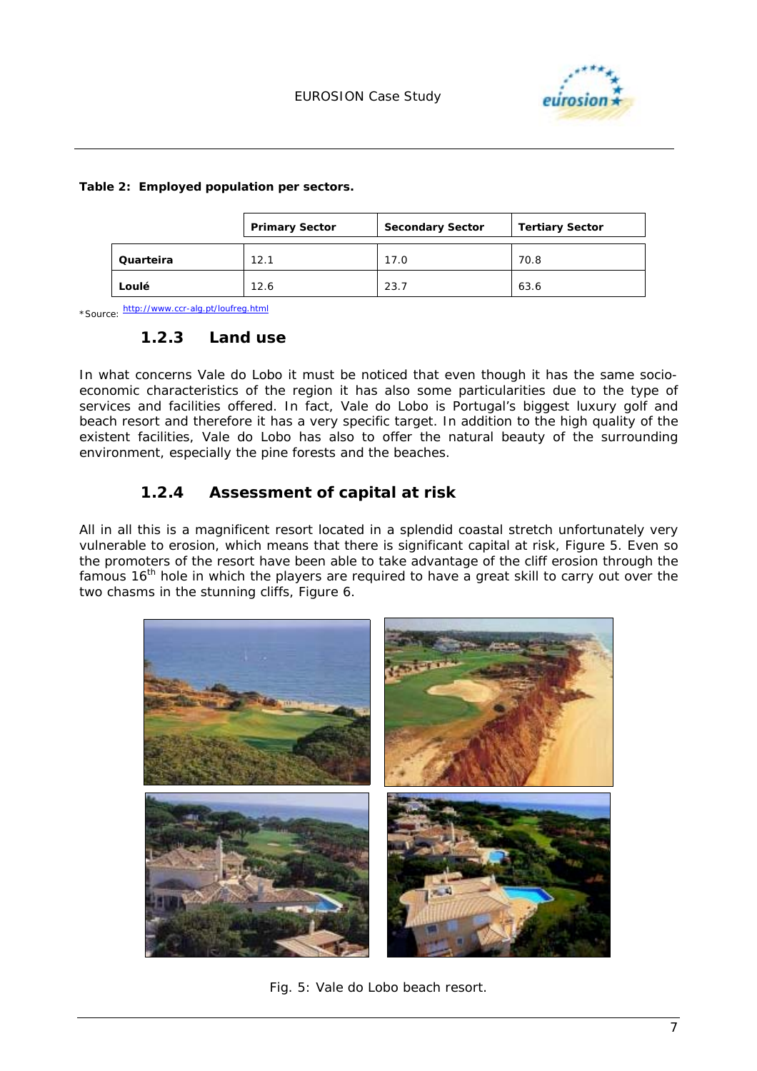

|  | Table 2: Employed population per sectors. |
|--|-------------------------------------------|
|  |                                           |

|           | <b>Primary Sector</b> | <b>Secondary Sector</b> | <b>Tertiary Sector</b> |
|-----------|-----------------------|-------------------------|------------------------|
| Quarteira | 12.1                  | 17.0                    | 70.8                   |
| Loulé     | 12.6                  | 23.7                    | 63.6                   |

\*Source: http://www.ccr-alg.pt/loufreg.html

#### **1.2.3 Land use**

In what concerns Vale do Lobo it must be noticed that even though it has the same socioeconomic characteristics of the region it has also some particularities due to the type of services and facilities offered. In fact, Vale do Lobo is Portugal's biggest luxury golf and beach resort and therefore it has a very specific target. In addition to the high quality of the existent facilities, Vale do Lobo has also to offer the natural beauty of the surrounding environment, especially the pine forests and the beaches.

#### **1.2.4 Assessment of capital at risk**

All in all this is a magnificent resort located in a splendid coastal stretch unfortunately very vulnerable to erosion, which means that there is significant capital at risk, Figure 5. Even so the promoters of the resort have been able to take advantage of the cliff erosion through the famous 16<sup>th</sup> hole in which the players are required to have a great skill to carry out over the two chasms in the stunning cliffs, Figure 6.



*Fig. 5: Vale do Lobo beach resort.*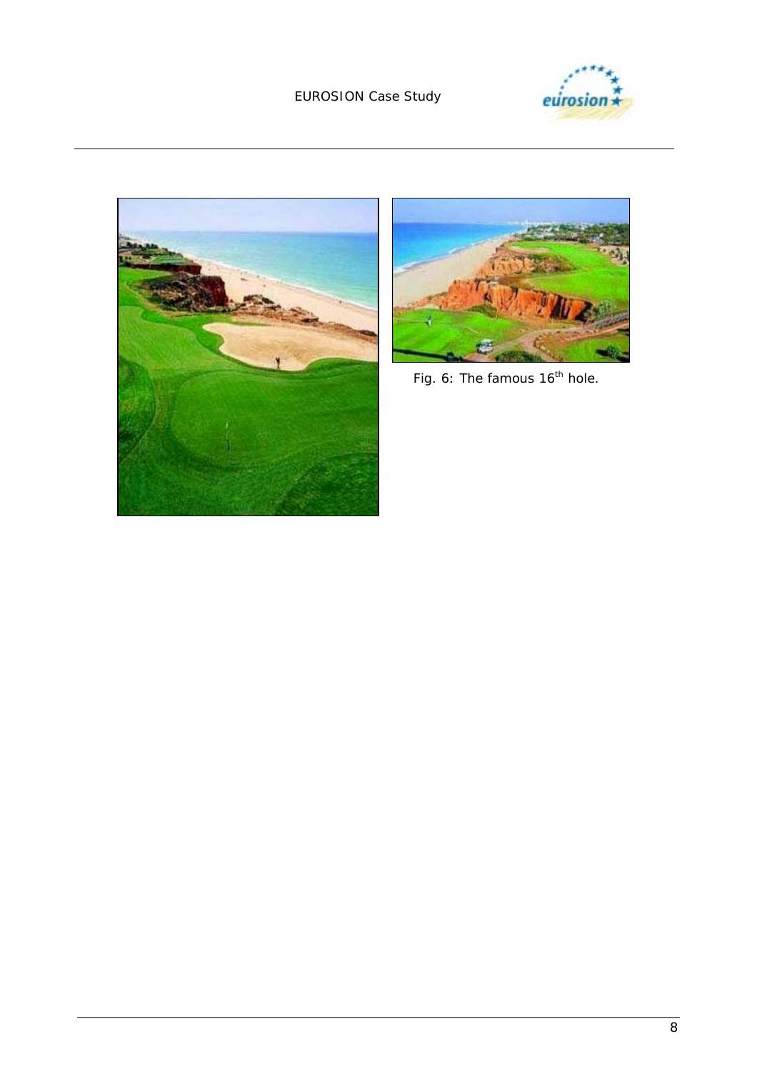





 *Fig. 6: The famous 16th hole.*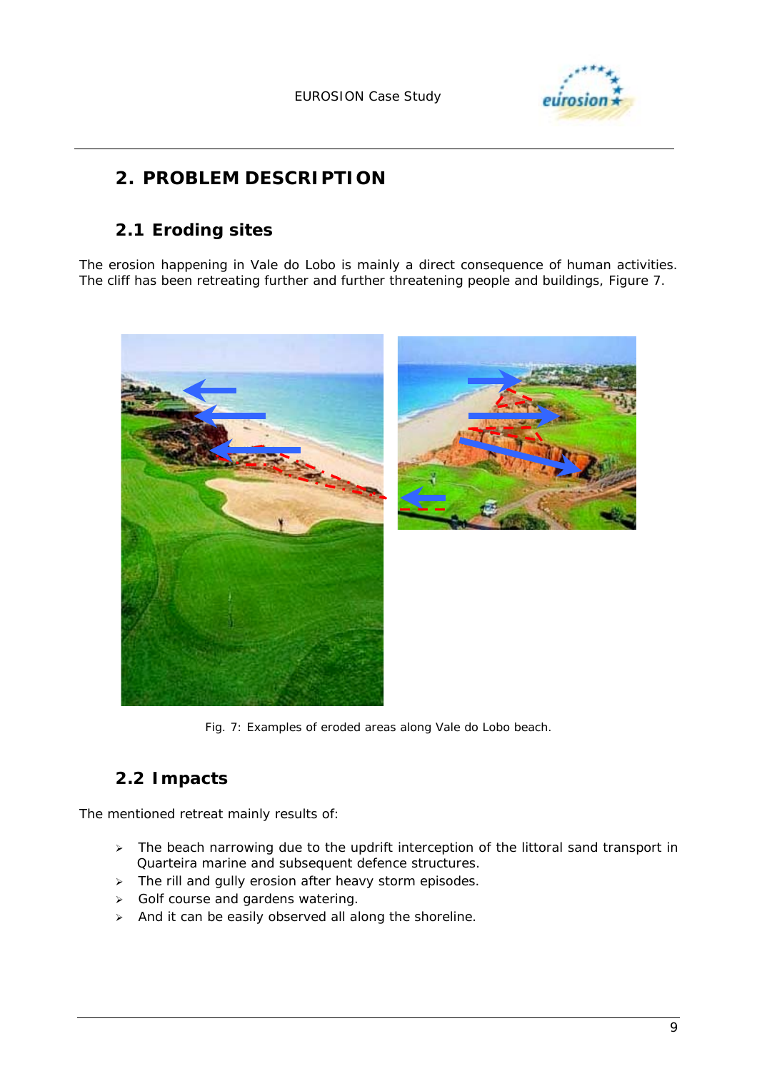

# **2. PROBLEM DESCRIPTION**

### **2.1 Eroding sites**

The erosion happening in Vale do Lobo is mainly a direct consequence of human activities. The cliff has been retreating further and further threatening people and buildings, Figure 7.



*Fig. 7: Examples of eroded areas along Vale do Lobo beach.* 

# **2.2 Impacts**

The mentioned retreat mainly results of:

- $\triangleright$  The beach narrowing due to the updrift interception of the littoral sand transport in Quarteira marine and subsequent defence structures.
- > The rill and gully erosion after heavy storm episodes.
- $\triangleright$  Golf course and gardens watering.
- $\triangleright$  And it can be easily observed all along the shoreline.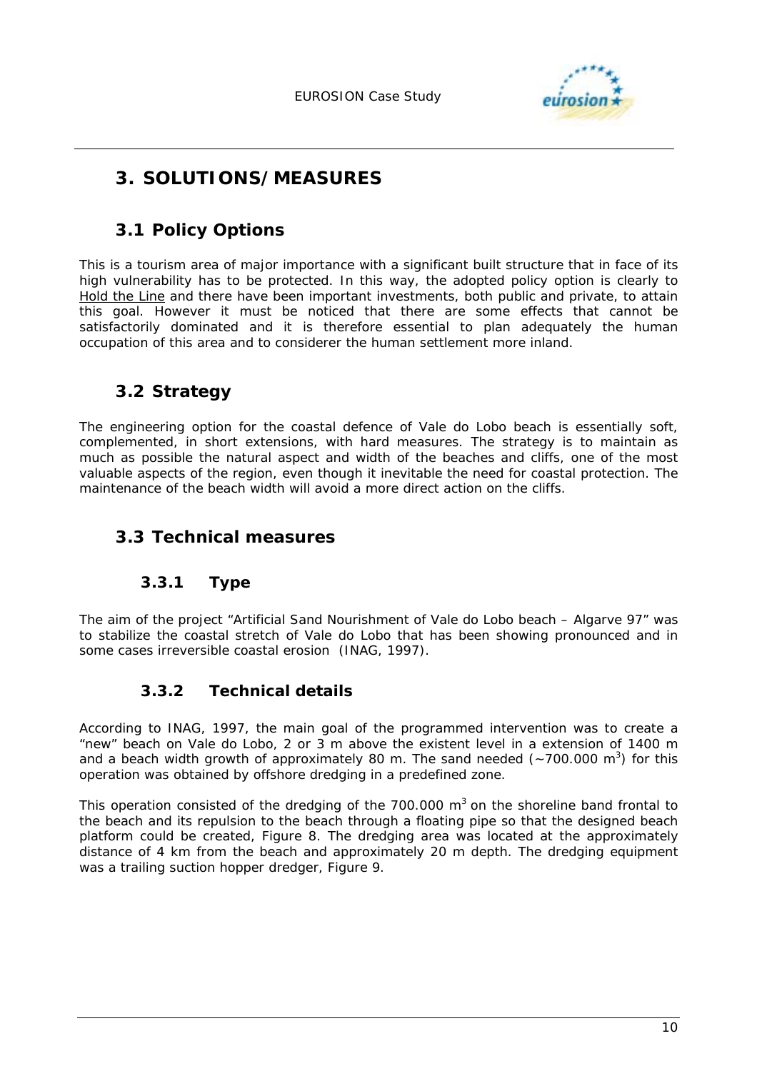

# **3. SOLUTIONS/MEASURES**

### **3.1 Policy Options**

This is a tourism area of major importance with a significant built structure that in face of its high vulnerability has to be protected. In this way, the adopted policy option is clearly to Hold the Line and there have been important investments, both public and private, to attain this goal. However it must be noticed that there are some effects that cannot be satisfactorily dominated and it is therefore essential to plan adequately the human occupation of this area and to considerer the human settlement more inland.

### **3.2 Strategy**

The engineering option for the coastal defence of Vale do Lobo beach is essentially soft, complemented, in short extensions, with hard measures. The strategy is to maintain as much as possible the natural aspect and width of the beaches and cliffs, one of the most valuable aspects of the region, even though it inevitable the need for coastal protection. The maintenance of the beach width will avoid a more direct action on the cliffs.

### **3.3 Technical measures**

#### **3.3.1 Type**

The aim of the project "Artificial Sand Nourishment of Vale do Lobo beach – Algarve 97" was to stabilize the coastal stretch of Vale do Lobo that has been showing pronounced and in some cases irreversible coastal erosion (INAG, 1997).

#### **3.3.2 Technical details**

According to INAG, 1997, the main goal of the programmed intervention was to create a "new" beach on Vale do Lobo, 2 or 3 m above the existent level in a extension of 1400 m and a beach width growth of approximately 80 m. The sand needed  $(-700.000 \text{ m}^3)$  for this operation was obtained by offshore dredging in a predefined zone.

This operation consisted of the dredging of the 700.000  $m<sup>3</sup>$  on the shoreline band frontal to the beach and its repulsion to the beach through a floating pipe so that the designed beach platform could be created, Figure 8. The dredging area was located at the approximately distance of 4 km from the beach and approximately 20 m depth. The dredging equipment was a trailing suction hopper dredger, Figure 9.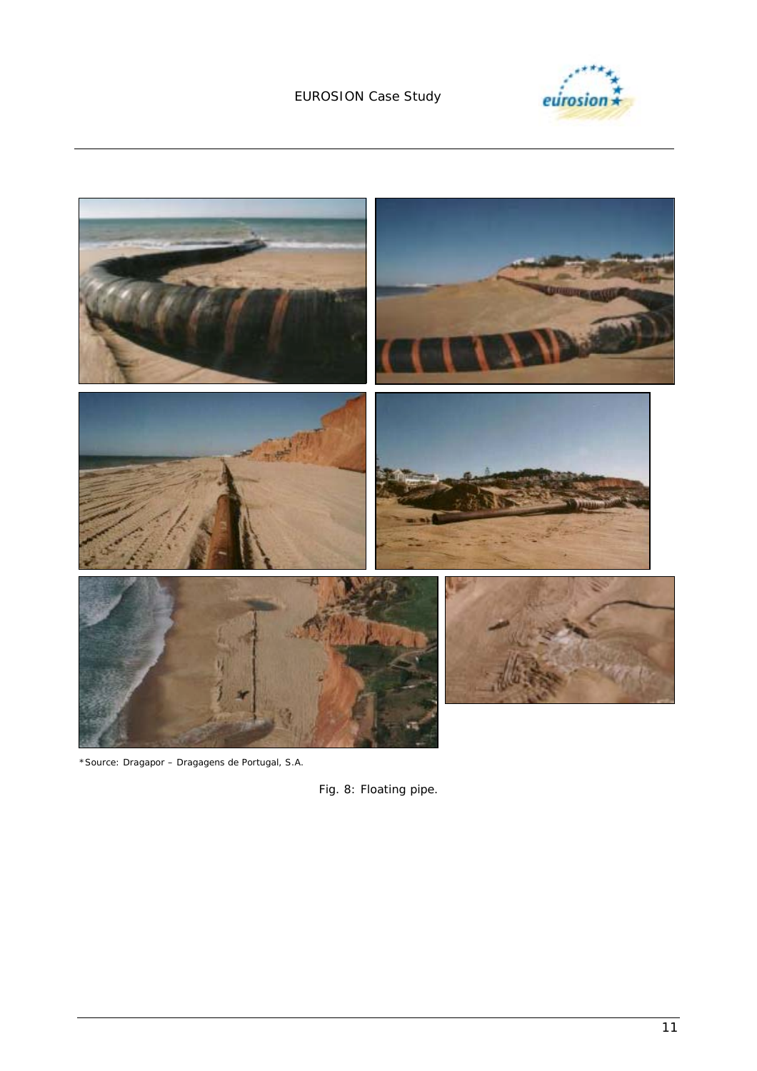



\*Source: Dragapor – Dragagens de Portugal, S.A.

*Fig. 8: Floating pipe.*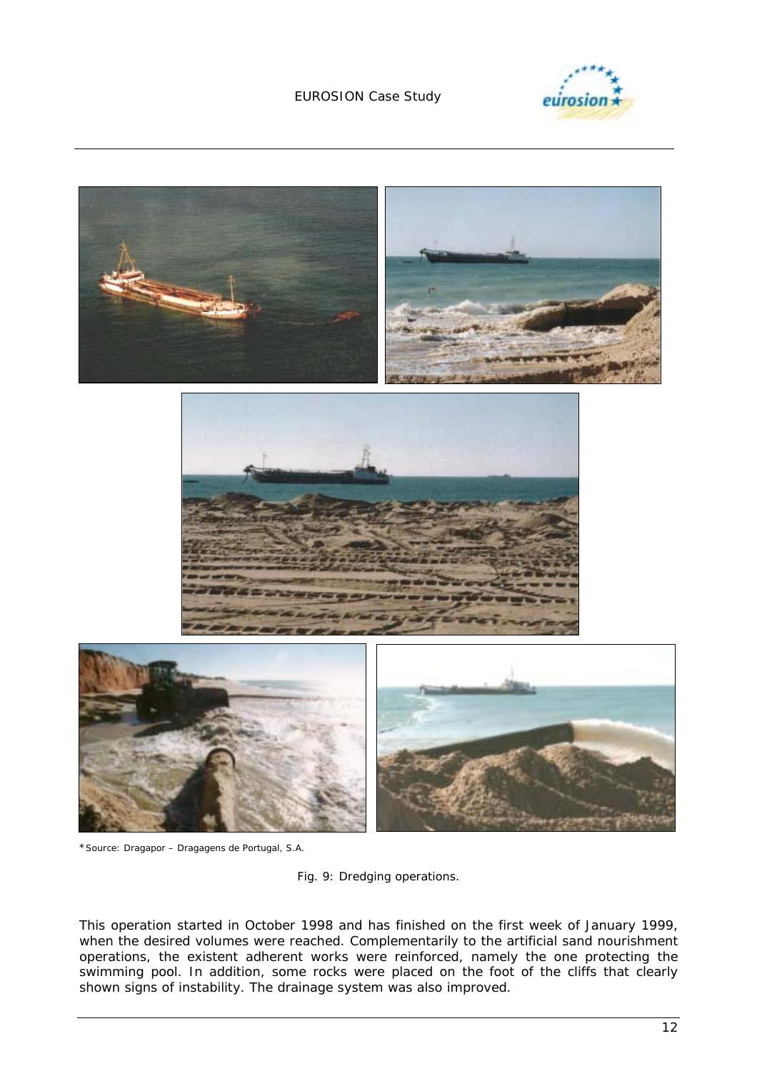



\*Source: Dragapor – Dragagens de Portugal, S.A.

*Fig. 9: Dredging operations.* 

This operation started in October 1998 and has finished on the first week of January 1999, when the desired volumes were reached. Complementarily to the artificial sand nourishment operations, the existent adherent works were reinforced, namely the one protecting the swimming pool. In addition, some rocks were placed on the foot of the cliffs that clearly shown signs of instability. The drainage system was also improved.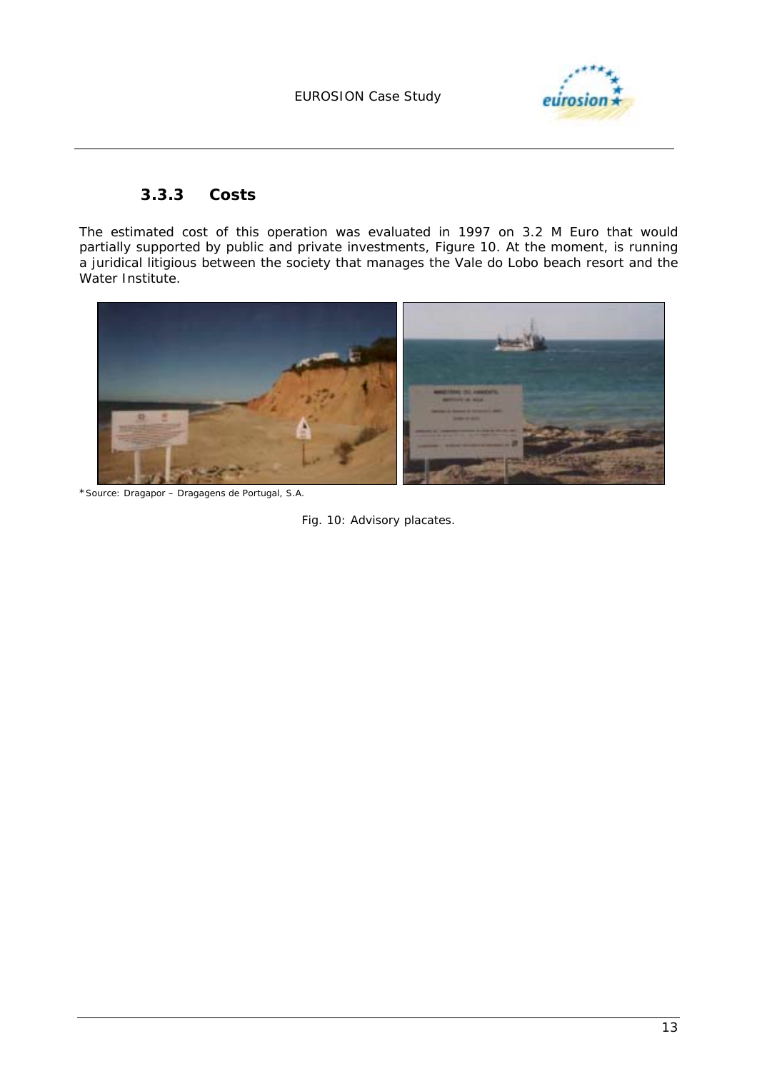

#### **3.3.3 Costs**

The estimated cost of this operation was evaluated in 1997 on 3.2 M Euro that would partially supported by public and private investments, Figure 10. At the moment, is running a juridical litigious between the society that manages the Vale do Lobo beach resort and the Water Institute.



\*Source: Dragapor – Dragagens de Portugal, S.A.

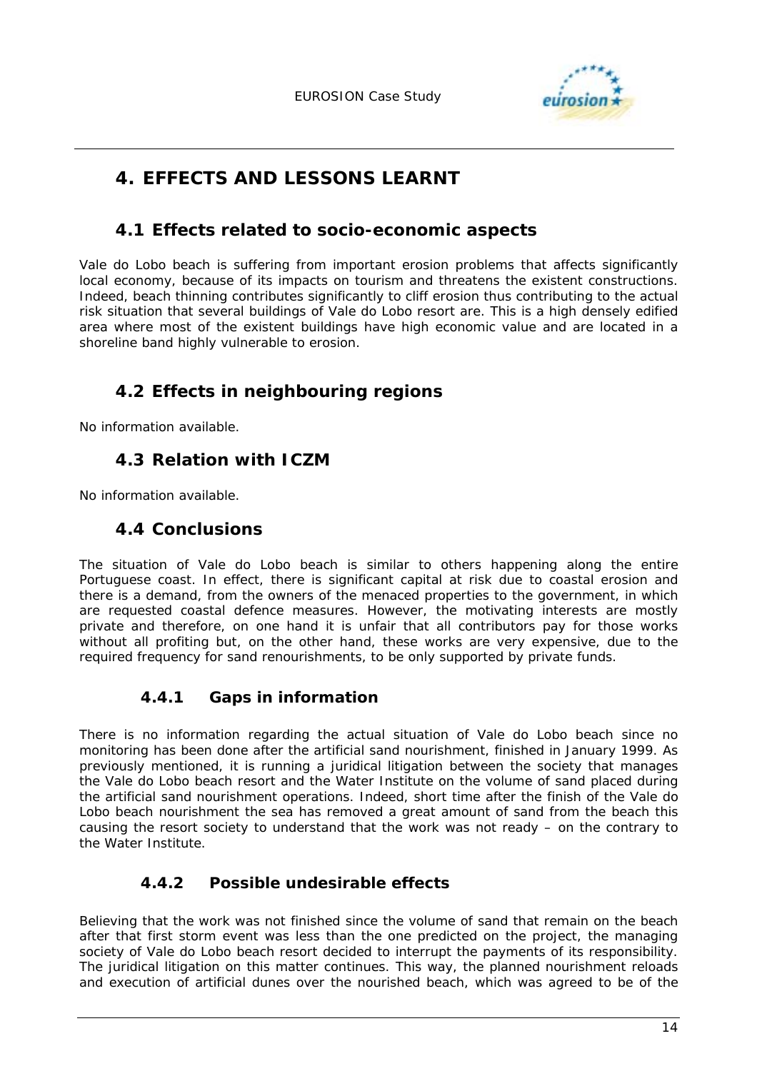

# **4. EFFECTS AND LESSONS LEARNT**

### **4.1 Effects related to socio-economic aspects**

Vale do Lobo beach is suffering from important erosion problems that affects significantly local economy, because of its impacts on tourism and threatens the existent constructions. Indeed, beach thinning contributes significantly to cliff erosion thus contributing to the actual risk situation that several buildings of Vale do Lobo resort are. This is a high densely edified area where most of the existent buildings have high economic value and are located in a shoreline band highly vulnerable to erosion.

### **4.2 Effects in neighbouring regions**

No information available.

### **4.3 Relation with ICZM**

No information available.

### **4.4 Conclusions**

The situation of Vale do Lobo beach is similar to others happening along the entire Portuguese coast. In effect, there is significant capital at risk due to coastal erosion and there is a demand, from the owners of the menaced properties to the government, in which are requested coastal defence measures. However, the motivating interests are mostly private and therefore, on one hand it is unfair that all contributors pay for those works without all profiting but, on the other hand, these works are very expensive, due to the required frequency for sand renourishments, to be only supported by private funds.

#### **4.4.1 Gaps in information**

There is no information regarding the actual situation of Vale do Lobo beach since no monitoring has been done after the artificial sand nourishment, finished in January 1999. As previously mentioned, it is running a juridical litigation between the society that manages the Vale do Lobo beach resort and the Water Institute on the volume of sand placed during the artificial sand nourishment operations. Indeed, short time after the finish of the Vale do Lobo beach nourishment the sea has removed a great amount of sand from the beach this causing the resort society to understand that the work was not ready – on the contrary to the Water Institute.

#### **4.4.2 Possible undesirable effects**

Believing that the work was not finished since the volume of sand that remain on the beach after that first storm event was less than the one predicted on the project, the managing society of Vale do Lobo beach resort decided to interrupt the payments of its responsibility. The juridical litigation on this matter continues. This way, the planned nourishment reloads and execution of artificial dunes over the nourished beach, which was agreed to be of the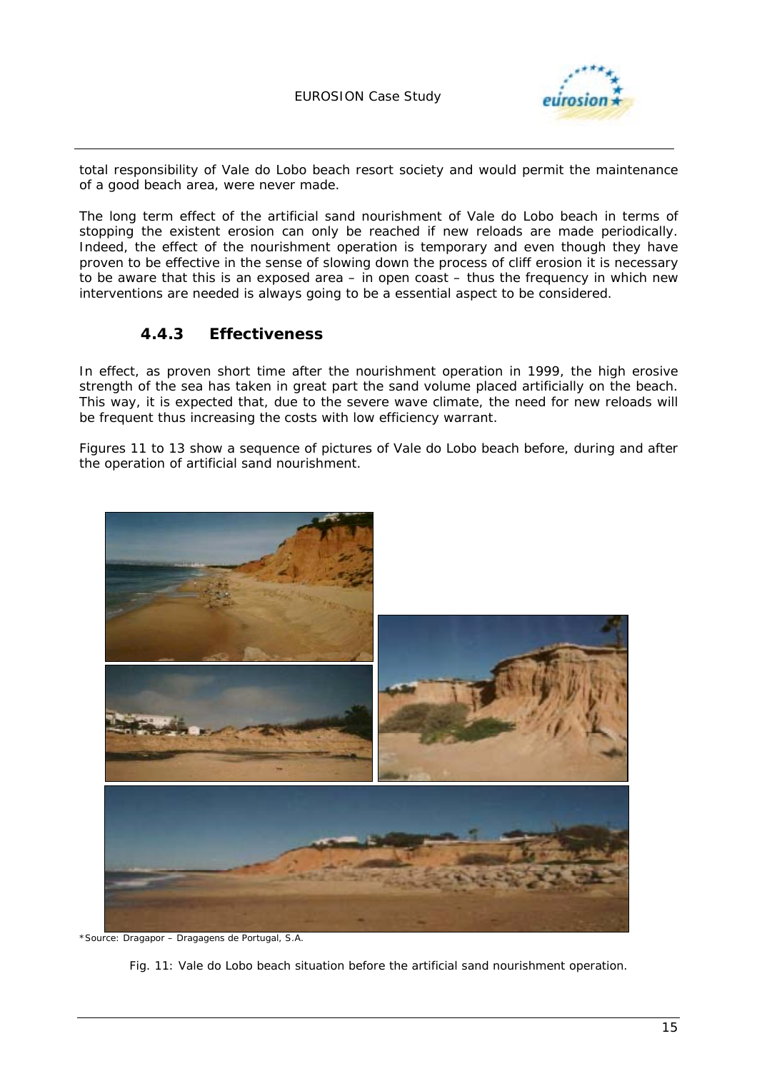

total responsibility of Vale do Lobo beach resort society and would permit the maintenance of a good beach area, were never made.

The long term effect of the artificial sand nourishment of Vale do Lobo beach in terms of stopping the existent erosion can only be reached if new reloads are made periodically. Indeed, the effect of the nourishment operation is temporary and even though they have proven to be effective in the sense of slowing down the process of cliff erosion it is necessary to be aware that this is an exposed area – in open coast – thus the frequency in which new interventions are needed is always going to be a essential aspect to be considered.

#### **4.4.3 Effectiveness**

In effect, as proven short time after the nourishment operation in 1999, the high erosive strength of the sea has taken in great part the sand volume placed artificially on the beach. This way, it is expected that, due to the severe wave climate, the need for new reloads will be frequent thus increasing the costs with low efficiency warrant.

Figures 11 to 13 show a sequence of pictures of Vale do Lobo beach before, during and after the operation of artificial sand nourishment.



\*Source: Dragapor – Dragagens de Portugal, S.A.

*Fig. 11: Vale do Lobo beach situation before the artificial sand nourishment operation.*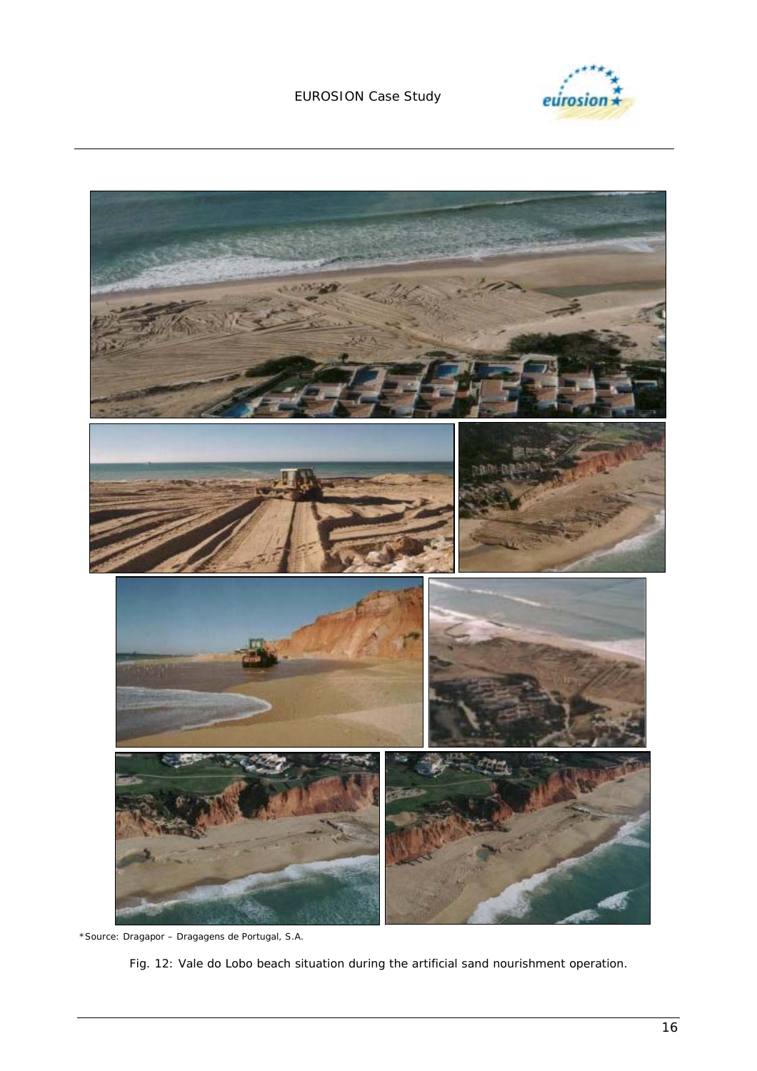



\*Source: Dragapor – Dragagens de Portugal, S.A.

*Fig. 12: Vale do Lobo beach situation during the artificial sand nourishment operation.*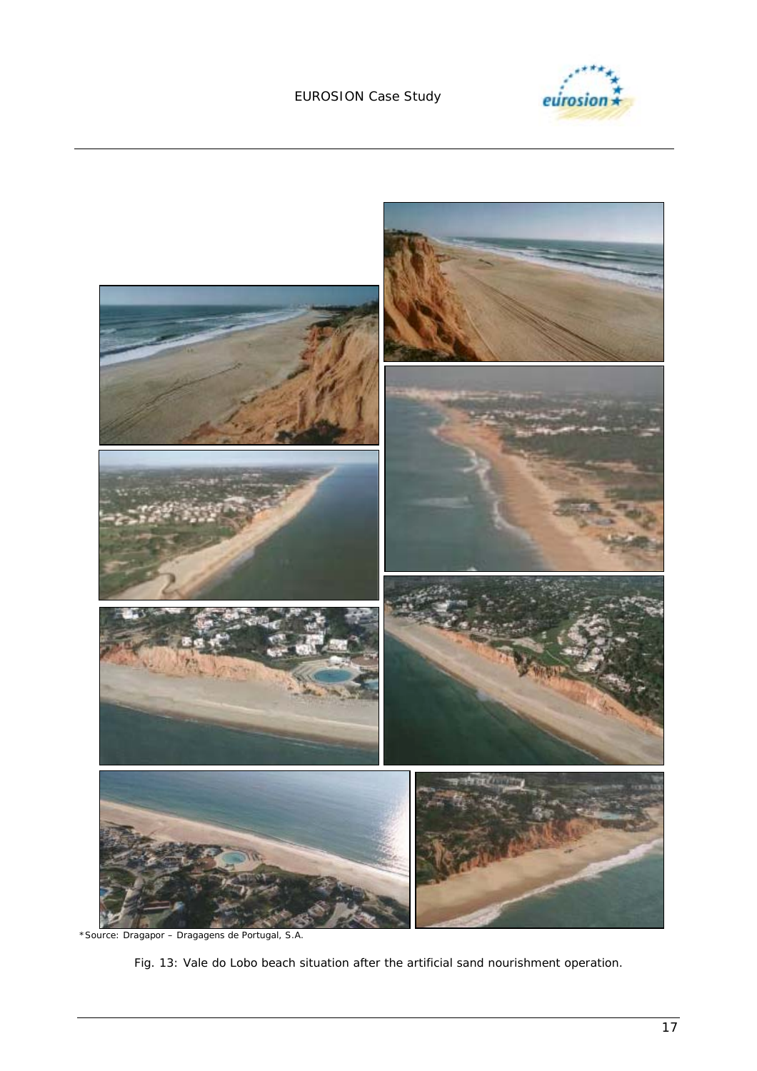



\*Source: Dragapor – Dragagens de Portugal, S.A.

*Fig. 13: Vale do Lobo beach situation after the artificial sand nourishment operation.*